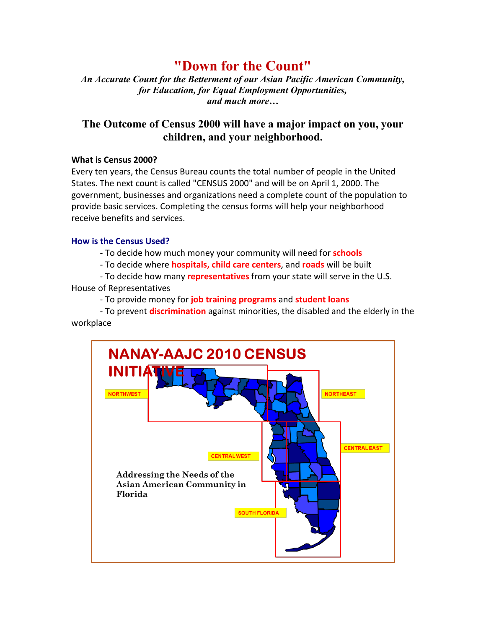# **"Down for the Count"**

*An Accurate Count for the Betterment of our Asian Pacific American Community, for Education, for Equal Employment Opportunities, and much more…*

### **The Outcome of Census 2000 will have a major impact on you, your children, and your neighborhood.**

#### **What is Census 2000?**

Every ten years, the Census Bureau counts the total number of people in the United States. The next count is called "CENSUS 2000" and will be on April 1, 2000. The government, businesses and organizations need a complete count of the population to provide basic services. Completing the census forms will help your neighborhood receive benefits and services.

#### **How is the Census Used?**

- To decide how much money your community will need for **schools**

- To decide where **hospitals, child care centers**, and **roads** will be built

- To decide how many **representatives** from your state will serve in the U.S.

House of Representatives

- To provide money for **job training programs** and **student loans**

- To prevent **discrimination** against minorities, the disabled and the elderly in the workplace